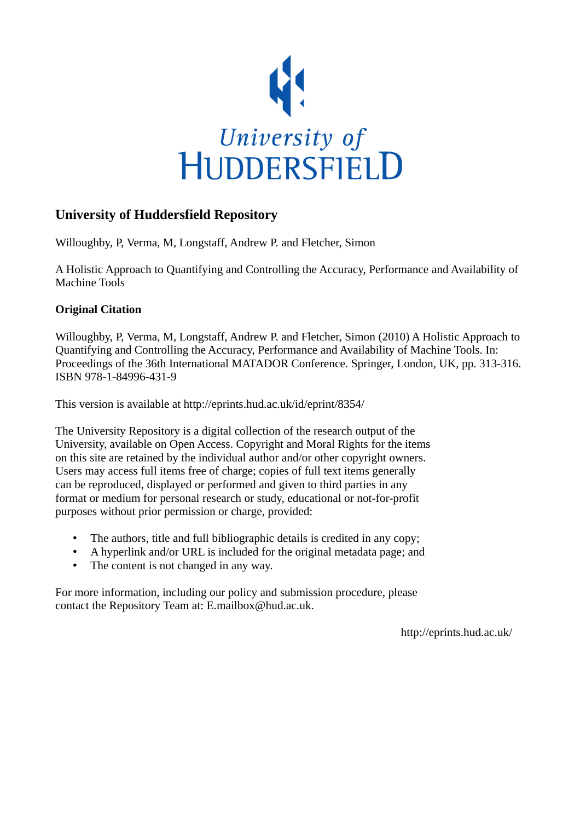

# **University of Huddersfield Repository**

Willoughby, P, Verma, M, Longstaff, Andrew P. and Fletcher, Simon

A Holistic Approach to Quantifying and Controlling the Accuracy, Performance and Availability of Machine Tools

# **Original Citation**

Willoughby, P, Verma, M, Longstaff, Andrew P. and Fletcher, Simon (2010) A Holistic Approach to Quantifying and Controlling the Accuracy, Performance and Availability of Machine Tools. In: Proceedings of the 36th International MATADOR Conference. Springer, London, UK, pp. 313-316. ISBN 978-1-84996-431-9

This version is available at http://eprints.hud.ac.uk/id/eprint/8354/

The University Repository is a digital collection of the research output of the University, available on Open Access. Copyright and Moral Rights for the items on this site are retained by the individual author and/or other copyright owners. Users may access full items free of charge; copies of full text items generally can be reproduced, displayed or performed and given to third parties in any format or medium for personal research or study, educational or not-for-profit purposes without prior permission or charge, provided:

- The authors, title and full bibliographic details is credited in any copy;
- A hyperlink and/or URL is included for the original metadata page; and
- The content is not changed in any way.

For more information, including our policy and submission procedure, please contact the Repository Team at: E.mailbox@hud.ac.uk.

http://eprints.hud.ac.uk/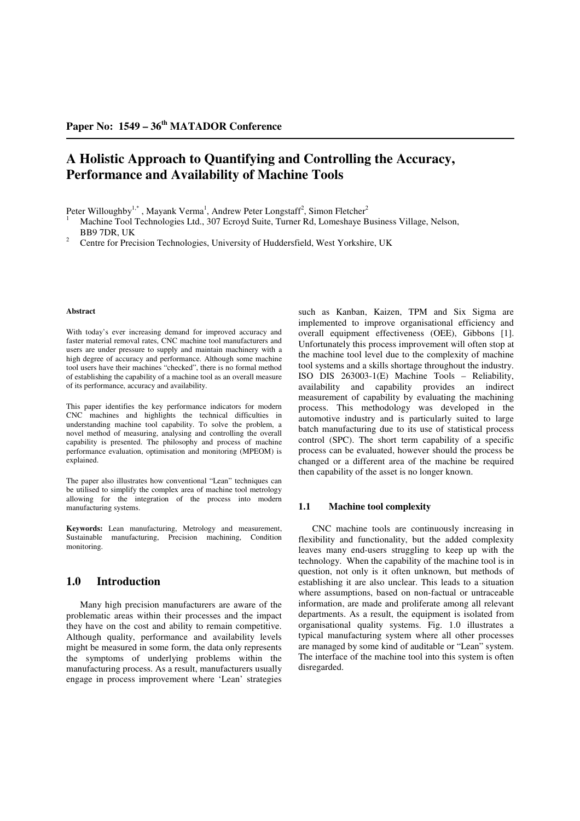# **A Holistic Approach to Quantifying and Controlling the Accuracy, Performance and Availability of Machine Tools**

Peter Willoughby $^{1,*}$  , Mayank Verma $^1$ , Andrew Peter Longstaff $^2$ , Simon Fletcher $^2$ 

- <sup>1</sup>Machine Tool Technologies Ltd., 307 Ecroyd Suite, Turner Rd, Lomeshaye Business Village, Nelson, BB9 7DR, UK
- <sup>2</sup>Centre for Precision Technologies, University of Huddersfield, West Yorkshire, UK

#### **Abstract**

With today's ever increasing demand for improved accuracy and faster material removal rates, CNC machine tool manufacturers and users are under pressure to supply and maintain machinery with a high degree of accuracy and performance. Although some machine tool users have their machines "checked", there is no formal method of establishing the capability of a machine tool as an overall measure of its performance, accuracy and availability.

This paper identifies the key performance indicators for modern CNC machines and highlights the technical difficulties in understanding machine tool capability. To solve the problem, a novel method of measuring, analysing and controlling the overall capability is presented. The philosophy and process of machine performance evaluation, optimisation and monitoring (MPEOM) is explained.

The paper also illustrates how conventional "Lean" techniques can be utilised to simplify the complex area of machine tool metrology allowing for the integration of the process into modern manufacturing systems.

**Keywords:** Lean manufacturing, Metrology and measurement, Sustainable manufacturing, Precision machining, Condition monitoring.

## **1.0 Introduction**

Many high precision manufacturers are aware of the problematic areas within their processes and the impact they have on the cost and ability to remain competitive. Although quality, performance and availability levels might be measured in some form, the data only represents the symptoms of underlying problems within the manufacturing process. As a result, manufacturers usually engage in process improvement where 'Lean' strategies such as Kanban, Kaizen, TPM and Six Sigma are implemented to improve organisational efficiency and overall equipment effectiveness (OEE), Gibbons [1]. Unfortunately this process improvement will often stop at the machine tool level due to the complexity of machine tool systems and a skills shortage throughout the industry. ISO DIS 263003-1(E) Machine Tools – Reliability, availability and capability provides an indirect measurement of capability by evaluating the machining process. This methodology was developed in the automotive industry and is particularly suited to large batch manufacturing due to its use of statistical process control (SPC). The short term capability of a specific process can be evaluated, however should the process be changed or a different area of the machine be required then capability of the asset is no longer known.

## **1.1 Machine tool complexity**

CNC machine tools are continuously increasing in flexibility and functionality, but the added complexity leaves many end-users struggling to keep up with the technology. When the capability of the machine tool is in question, not only is it often unknown, but methods of establishing it are also unclear. This leads to a situation where assumptions, based on non-factual or untraceable information, are made and proliferate among all relevant departments. As a result, the equipment is isolated from organisational quality systems. Fig. 1.0 illustrates a typical manufacturing system where all other processes are managed by some kind of auditable or "Lean" system. The interface of the machine tool into this system is often disregarded.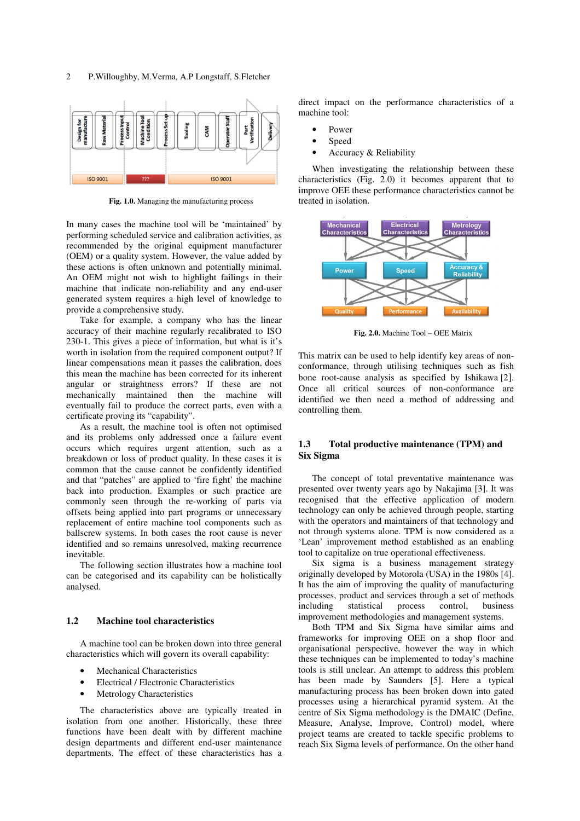

**Fig. 1.0.** Managing the manufacturing process

In many cases the machine tool will be 'maintained' by performing scheduled service and calibration activities, as recommended by the original equipment manufacturer (OEM) or a quality system. However, the value added by these actions is often unknown and potentially minimal. An OEM might not wish to highlight failings in their machine that indicate non-reliability and any end-user generated system requires a high level of knowledge to provide a comprehensive study.

Take for example, a company who has the linear accuracy of their machine regularly recalibrated to ISO 230-1. This gives a piece of information, but what is it's worth in isolation from the required component output? If linear compensations mean it passes the calibration, does this mean the machine has been corrected for its inherent angular or straightness errors? If these are not mechanically maintained then the machine will eventually fail to produce the correct parts, even with a certificate proving its "capability".

As a result, the machine tool is often not optimised and its problems only addressed once a failure event occurs which requires urgent attention, such as a breakdown or loss of product quality. In these cases it is common that the cause cannot be confidently identified and that "patches" are applied to 'fire fight' the machine back into production. Examples or such practice are commonly seen through the re-working of parts via offsets being applied into part programs or unnecessary replacement of entire machine tool components such as ballscrew systems. In both cases the root cause is never identified and so remains unresolved, making recurrence inevitable.

The following section illustrates how a machine tool can be categorised and its capability can be holistically analysed.

### **1.2 Machine tool characteristics**

A machine tool can be broken down into three general characteristics which will govern its overall capability:

- Mechanical Characteristics
- Electrical / Electronic Characteristics
- Metrology Characteristics

The characteristics above are typically treated in isolation from one another. Historically, these three functions have been dealt with by different machine design departments and different end-user maintenance departments. The effect of these characteristics has a direct impact on the performance characteristics of a machine tool:

- Power
- Speed
- Accuracy & Reliability

When investigating the relationship between these characteristics (Fig. 2.0) it becomes apparent that to improve OEE these performance characteristics cannot be treated in isolation.



**Fig. 2.0.** Machine Tool – OEE Matrix

This matrix can be used to help identify key areas of nonconformance, through utilising techniques such as fish bone root-cause analysis as specified by Ishikawa [2]. Once all critical sources of non-conformance are identified we then need a method of addressing and controlling them.

## **1.3 Total productive maintenance (TPM) and Six Sigma**

The concept of total preventative maintenance was presented over twenty years ago by Nakajima [3]. It was recognised that the effective application of modern technology can only be achieved through people, starting with the operators and maintainers of that technology and not through systems alone. TPM is now considered as a 'Lean' improvement method established as an enabling tool to capitalize on true operational effectiveness.

Six sigma is a business management strategy originally developed by Motorola (USA) in the 1980s [4]. It has the aim of improving the quality of manufacturing processes, product and services through a set of methods including statistical process control, business improvement methodologies and management systems.

Both TPM and Six Sigma have similar aims and frameworks for improving OEE on a shop floor and organisational perspective, however the way in which these techniques can be implemented to today's machine tools is still unclear. An attempt to address this problem has been made by Saunders [5]. Here a typical manufacturing process has been broken down into gated processes using a hierarchical pyramid system. At the centre of Six Sigma methodology is the DMAIC (Define, Measure, Analyse, Improve, Control) model, where project teams are created to tackle specific problems to reach Six Sigma levels of performance. On the other hand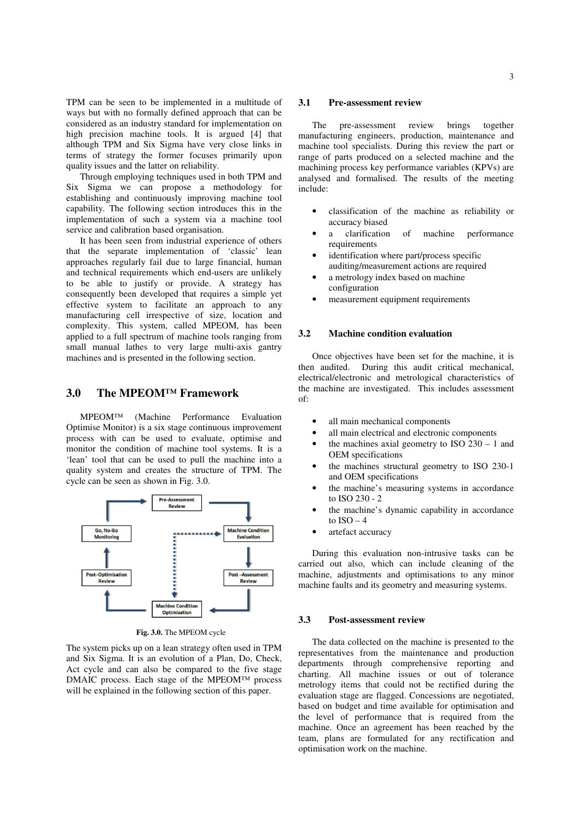TPM can be seen to be implemented in a multitude of ways but with no formally defined approach that can be considered as an industry standard for implementation on high precision machine tools. It is argued [4] that although TPM and Six Sigma have very close links in terms of strategy the former focuses primarily upon quality issues and the latter on reliability.

Through employing techniques used in both TPM and Six Sigma we can propose a methodology for establishing and continuously improving machine tool capability. The following section introduces this in the implementation of such a system via a machine tool service and calibration based organisation.

It has been seen from industrial experience of others that the separate implementation of 'classic' lean approaches regularly fail due to large financial, human and technical requirements which end-users are unlikely to be able to justify or provide. A strategy has consequently been developed that requires a simple yet effective system to facilitate an approach to any manufacturing cell irrespective of size, location and complexity. This system, called MPEOM, has been applied to a full spectrum of machine tools ranging from small manual lathes to very large multi-axis gantry machines and is presented in the following section.

## **3.0 The MPEOM™ Framework**

MPEOM™ (Machine Performance Evaluation Optimise Monitor) is a six stage continuous improvement process with can be used to evaluate, optimise and monitor the condition of machine tool systems. It is a 'lean' tool that can be used to pull the machine into a quality system and creates the structure of TPM. The cycle can be seen as shown in Fig. 3.0.



**Fig. 3.0.** The MPEOM cycle

The system picks up on a lean strategy often used in TPM and Six Sigma. It is an evolution of a Plan, Do, Check, Act cycle and can also be compared to the five stage DMAIC process. Each stage of the MPEOM™ process will be explained in the following section of this paper.

### **3.1 Pre-assessment review**

The pre-assessment review brings together manufacturing engineers, production, maintenance and machine tool specialists. During this review the part or range of parts produced on a selected machine and the machining process key performance variables (KPVs) are analysed and formalised. The results of the meeting include:

- classification of the machine as reliability or accuracy biased
- a clarification of machine performance requirements
- identification where part/process specific auditing/measurement actions are required
- a metrology index based on machine configuration
- measurement equipment requirements

#### **3.2 Machine condition evaluation**

Once objectives have been set for the machine, it is then audited. During this audit critical mechanical, electrical/electronic and metrological characteristics of the machine are investigated. This includes assessment of:

- all main mechanical components
- all main electrical and electronic components
- the machines axial geometry to ISO  $230 1$  and OEM specifications
- the machines structural geometry to ISO 230-1 and OEM specifications
- the machine's measuring systems in accordance to ISO 230 - 2
- the machine's dynamic capability in accordance to  $ISO - 4$
- artefact accuracy

During this evaluation non-intrusive tasks can be carried out also, which can include cleaning of the machine, adjustments and optimisations to any minor machine faults and its geometry and measuring systems.

### **3.3 Post-assessment review**

The data collected on the machine is presented to the representatives from the maintenance and production departments through comprehensive reporting and charting. All machine issues or out of tolerance metrology items that could not be rectified during the evaluation stage are flagged. Concessions are negotiated, based on budget and time available for optimisation and the level of performance that is required from the machine. Once an agreement has been reached by the team, plans are formulated for any rectification and optimisation work on the machine.